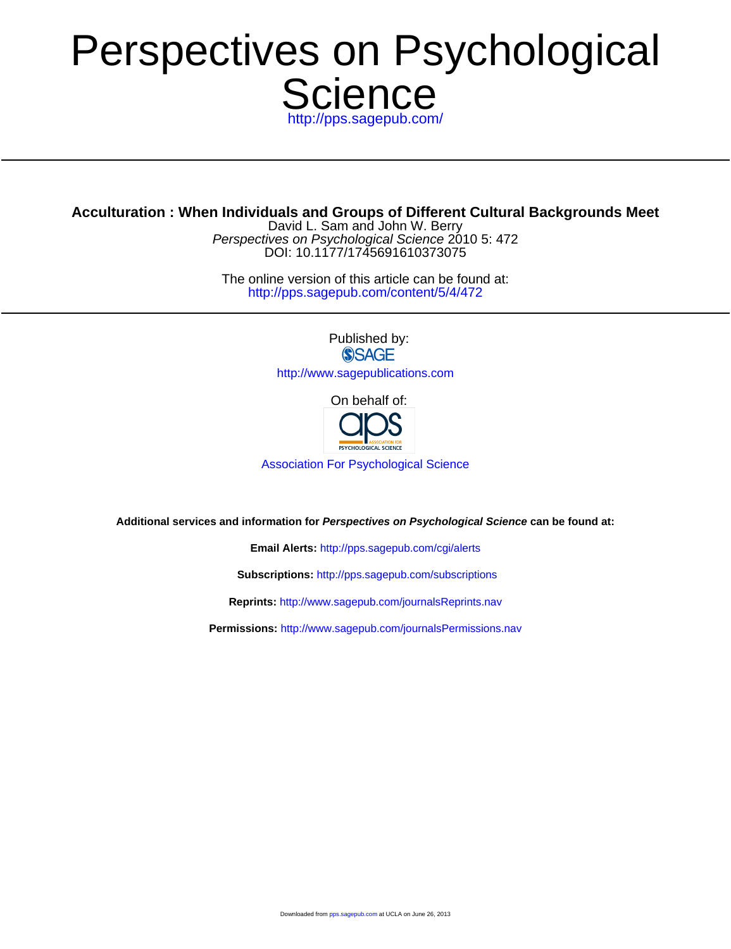# **Science** <http://pps.sagepub.com/> Perspectives on Psychological

# **Acculturation : When Individuals and Groups of Different Cultural Backgrounds Meet**

DOI: 10.1177/1745691610373075 Perspectives on Psychological Science 2010 5: 472 David L. Sam and John W. Berry

<http://pps.sagepub.com/content/5/4/472> The online version of this article can be found at:

> Published by: **SSAGE** <http://www.sagepublications.com>

> > On behalf of:



[Association For Psychological Science](http://www.psychologicalscience.org)

**Additional services and information for Perspectives on Psychological Science can be found at:**

**Email Alerts:** <http://pps.sagepub.com/cgi/alerts>

**Subscriptions:** <http://pps.sagepub.com/subscriptions>

**Reprints:** <http://www.sagepub.com/journalsReprints.nav>

**Permissions:** <http://www.sagepub.com/journalsPermissions.nav>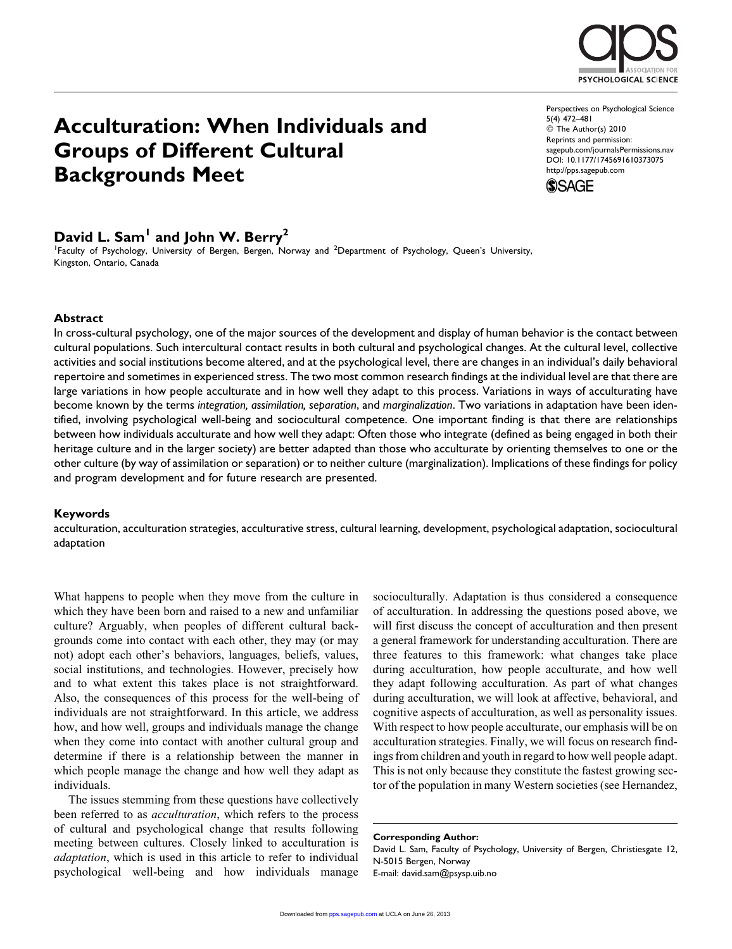

# Acculturation: When Individuals and Groups of Different Cultural Backgrounds Meet

Perspectives on Psychological Science 5(4) 472–481  $©$  The Author(s) 2010 Reprints and permission: sagepub.com/journalsPermissions.nav DOI: 10.1177/1745691610373075 http://pps.sagepub.com



# David L. Sam<sup>1</sup> and John W. Berry<sup>2</sup>

<sup>1</sup> Faculty of Psychology, University of Bergen, Bergen, Norway and <sup>2</sup> Department of Psychology, Queen's University, Kingston, Ontario, Canada

#### Abstract

In cross-cultural psychology, one of the major sources of the development and display of human behavior is the contact between cultural populations. Such intercultural contact results in both cultural and psychological changes. At the cultural level, collective activities and social institutions become altered, and at the psychological level, there are changes in an individual's daily behavioral repertoire and sometimes in experienced stress. The two most common research findings at the individual level are that there are large variations in how people acculturate and in how well they adapt to this process. Variations in ways of acculturating have become known by the terms integration, assimilation, separation, and marginalization. Two variations in adaptation have been identified, involving psychological well-being and sociocultural competence. One important finding is that there are relationships between how individuals acculturate and how well they adapt: Often those who integrate (defined as being engaged in both their heritage culture and in the larger society) are better adapted than those who acculturate by orienting themselves to one or the other culture (by way of assimilation or separation) or to neither culture (marginalization). Implications of these findings for policy and program development and for future research are presented.

#### Keywords

acculturation, acculturation strategies, acculturative stress, cultural learning, development, psychological adaptation, sociocultural adaptation

What happens to people when they move from the culture in which they have been born and raised to a new and unfamiliar culture? Arguably, when peoples of different cultural backgrounds come into contact with each other, they may (or may not) adopt each other's behaviors, languages, beliefs, values, social institutions, and technologies. However, precisely how and to what extent this takes place is not straightforward. Also, the consequences of this process for the well-being of individuals are not straightforward. In this article, we address how, and how well, groups and individuals manage the change when they come into contact with another cultural group and determine if there is a relationship between the manner in which people manage the change and how well they adapt as individuals.

The issues stemming from these questions have collectively been referred to as *acculturation*, which refers to the process of cultural and psychological change that results following meeting between cultures. Closely linked to acculturation is adaptation, which is used in this article to refer to individual psychological well-being and how individuals manage socioculturally. Adaptation is thus considered a consequence of acculturation. In addressing the questions posed above, we will first discuss the concept of acculturation and then present a general framework for understanding acculturation. There are three features to this framework: what changes take place during acculturation, how people acculturate, and how well they adapt following acculturation. As part of what changes during acculturation, we will look at affective, behavioral, and cognitive aspects of acculturation, as well as personality issues. With respect to how people acculturate, our emphasis will be on acculturation strategies. Finally, we will focus on research findings from children and youth in regard to how well people adapt. This is not only because they constitute the fastest growing sector of the population in many Western societies (see Hernandez,

#### Corresponding Author:

David L. Sam, Faculty of Psychology, University of Bergen, Christiesgate 12, N-5015 Bergen, Norway E-mail: david.sam@psysp.uib.no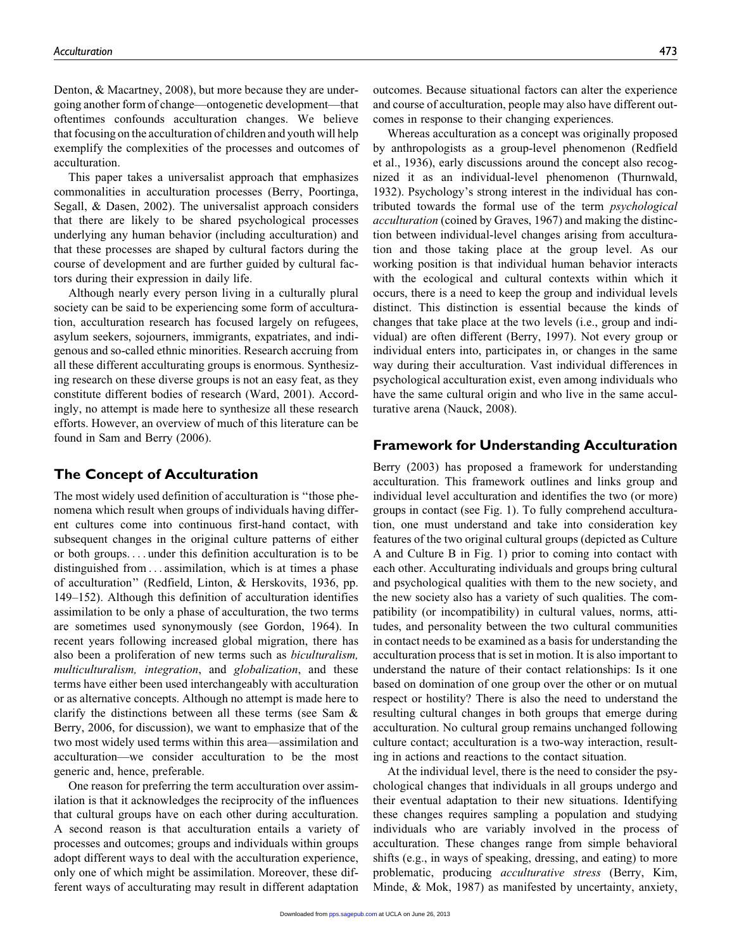Denton, & Macartney, 2008), but more because they are undergoing another form of change—ontogenetic development—that oftentimes confounds acculturation changes. We believe that focusing on the acculturation of children and youth will help exemplify the complexities of the processes and outcomes of acculturation.

This paper takes a universalist approach that emphasizes commonalities in acculturation processes (Berry, Poortinga, Segall, & Dasen, 2002). The universalist approach considers that there are likely to be shared psychological processes underlying any human behavior (including acculturation) and that these processes are shaped by cultural factors during the course of development and are further guided by cultural factors during their expression in daily life.

Although nearly every person living in a culturally plural society can be said to be experiencing some form of acculturation, acculturation research has focused largely on refugees, asylum seekers, sojourners, immigrants, expatriates, and indigenous and so-called ethnic minorities. Research accruing from all these different acculturating groups is enormous. Synthesizing research on these diverse groups is not an easy feat, as they constitute different bodies of research (Ward, 2001). Accordingly, no attempt is made here to synthesize all these research efforts. However, an overview of much of this literature can be found in Sam and Berry (2006).

#### The Concept of Acculturation

The most widely used definition of acculturation is ''those phenomena which result when groups of individuals having different cultures come into continuous first-hand contact, with subsequent changes in the original culture patterns of either or both groups. ... under this definition acculturation is to be distinguished from ... assimilation, which is at times a phase of acculturation'' (Redfield, Linton, & Herskovits, 1936, pp. 149–152). Although this definition of acculturation identifies assimilation to be only a phase of acculturation, the two terms are sometimes used synonymously (see Gordon, 1964). In recent years following increased global migration, there has also been a proliferation of new terms such as biculturalism, multiculturalism, integration, and globalization, and these terms have either been used interchangeably with acculturation or as alternative concepts. Although no attempt is made here to clarify the distinctions between all these terms (see Sam & Berry, 2006, for discussion), we want to emphasize that of the two most widely used terms within this area—assimilation and acculturation—we consider acculturation to be the most generic and, hence, preferable.

One reason for preferring the term acculturation over assimilation is that it acknowledges the reciprocity of the influences that cultural groups have on each other during acculturation. A second reason is that acculturation entails a variety of processes and outcomes; groups and individuals within groups adopt different ways to deal with the acculturation experience, only one of which might be assimilation. Moreover, these different ways of acculturating may result in different adaptation

outcomes. Because situational factors can alter the experience and course of acculturation, people may also have different outcomes in response to their changing experiences.

Whereas acculturation as a concept was originally proposed by anthropologists as a group-level phenomenon (Redfield et al., 1936), early discussions around the concept also recognized it as an individual-level phenomenon (Thurnwald, 1932). Psychology's strong interest in the individual has contributed towards the formal use of the term psychological acculturation (coined by Graves, 1967) and making the distinction between individual-level changes arising from acculturation and those taking place at the group level. As our working position is that individual human behavior interacts with the ecological and cultural contexts within which it occurs, there is a need to keep the group and individual levels distinct. This distinction is essential because the kinds of changes that take place at the two levels (i.e., group and individual) are often different (Berry, 1997). Not every group or individual enters into, participates in, or changes in the same way during their acculturation. Vast individual differences in psychological acculturation exist, even among individuals who have the same cultural origin and who live in the same acculturative arena (Nauck, 2008).

#### Framework for Understanding Acculturation

Berry (2003) has proposed a framework for understanding acculturation. This framework outlines and links group and individual level acculturation and identifies the two (or more) groups in contact (see Fig. 1). To fully comprehend acculturation, one must understand and take into consideration key features of the two original cultural groups (depicted as Culture A and Culture B in Fig. 1) prior to coming into contact with each other. Acculturating individuals and groups bring cultural and psychological qualities with them to the new society, and the new society also has a variety of such qualities. The compatibility (or incompatibility) in cultural values, norms, attitudes, and personality between the two cultural communities in contact needs to be examined as a basis for understanding the acculturation process that is set in motion. It is also important to understand the nature of their contact relationships: Is it one based on domination of one group over the other or on mutual respect or hostility? There is also the need to understand the resulting cultural changes in both groups that emerge during acculturation. No cultural group remains unchanged following culture contact; acculturation is a two-way interaction, resulting in actions and reactions to the contact situation.

At the individual level, there is the need to consider the psychological changes that individuals in all groups undergo and their eventual adaptation to their new situations. Identifying these changes requires sampling a population and studying individuals who are variably involved in the process of acculturation. These changes range from simple behavioral shifts (e.g., in ways of speaking, dressing, and eating) to more problematic, producing acculturative stress (Berry, Kim, Minde, & Mok, 1987) as manifested by uncertainty, anxiety,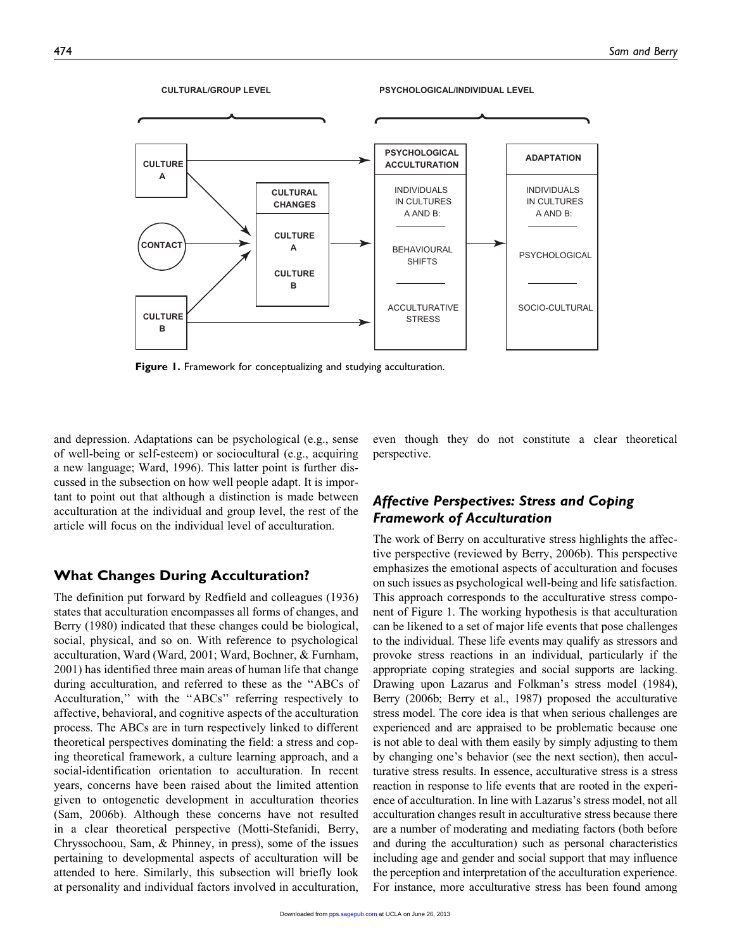

Figure 1. Framework for conceptualizing and studying acculturation.

and depression. Adaptations can be psychological (e.g., sense of well-being or self-esteem) or sociocultural (e.g., acquiring a new language; Ward, 1996). This latter point is further discussed in the subsection on how well people adapt. It is important to point out that although a distinction is made between acculturation at the individual and group level, the rest of the article will focus on the individual level of acculturation.

#### What Changes During Acculturation?

The definition put forward by Redfield and colleagues (1936) states that acculturation encompasses all forms of changes, and Berry (1980) indicated that these changes could be biological, social, physical, and so on. With reference to psychological acculturation, Ward (Ward, 2001; Ward, Bochner, & Furnham, 2001) has identified three main areas of human life that change during acculturation, and referred to these as the ''ABCs of Acculturation,'' with the ''ABCs'' referring respectively to affective, behavioral, and cognitive aspects of the acculturation process. The ABCs are in turn respectively linked to different theoretical perspectives dominating the field: a stress and coping theoretical framework, a culture learning approach, and a social-identification orientation to acculturation. In recent years, concerns have been raised about the limited attention given to ontogenetic development in acculturation theories (Sam, 2006b). Although these concerns have not resulted in a clear theoretical perspective (Motti-Stefanidi, Berry, Chryssochoou, Sam, & Phinney, in press), some of the issues pertaining to developmental aspects of acculturation will be attended to here. Similarly, this subsection will briefly look at personality and individual factors involved in acculturation,

even though they do not constitute a clear theoretical perspective.

## Affective Perspectives: Stress and Coping Framework of Acculturation

The work of Berry on acculturative stress highlights the affective perspective (reviewed by Berry, 2006b). This perspective emphasizes the emotional aspects of acculturation and focuses on such issues as psychological well-being and life satisfaction. This approach corresponds to the acculturative stress component of Figure 1. The working hypothesis is that acculturation can be likened to a set of major life events that pose challenges to the individual. These life events may qualify as stressors and provoke stress reactions in an individual, particularly if the appropriate coping strategies and social supports are lacking. Drawing upon Lazarus and Folkman's stress model (1984), Berry (2006b; Berry et al., 1987) proposed the acculturative stress model. The core idea is that when serious challenges are experienced and are appraised to be problematic because one is not able to deal with them easily by simply adjusting to them by changing one's behavior (see the next section), then acculturative stress results. In essence, acculturative stress is a stress reaction in response to life events that are rooted in the experience of acculturation. In line with Lazarus's stress model, not all acculturation changes result in acculturative stress because there are a number of moderating and mediating factors (both before and during the acculturation) such as personal characteristics including age and gender and social support that may influence the perception and interpretation of the acculturation experience. For instance, more acculturative stress has been found among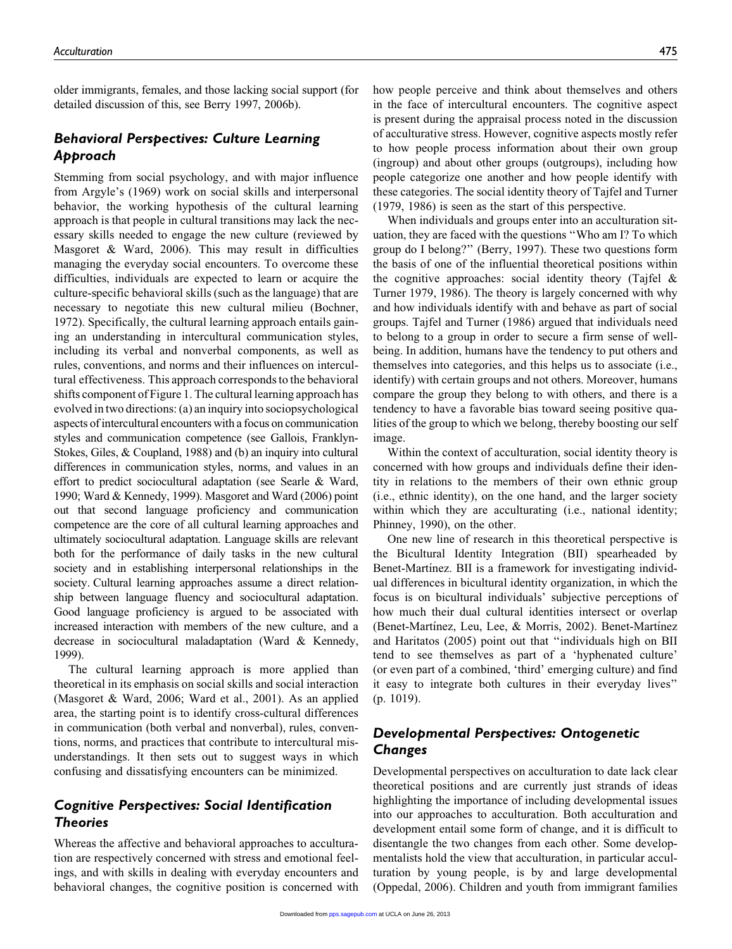older immigrants, females, and those lacking social support (for detailed discussion of this, see Berry 1997, 2006b).

# Behavioral Perspectives: Culture Learning Approach

Stemming from social psychology, and with major influence from Argyle's (1969) work on social skills and interpersonal behavior, the working hypothesis of the cultural learning approach is that people in cultural transitions may lack the necessary skills needed to engage the new culture (reviewed by Masgoret & Ward, 2006). This may result in difficulties managing the everyday social encounters. To overcome these difficulties, individuals are expected to learn or acquire the culture-specific behavioral skills (such as the language) that are necessary to negotiate this new cultural milieu (Bochner, 1972). Specifically, the cultural learning approach entails gaining an understanding in intercultural communication styles, including its verbal and nonverbal components, as well as rules, conventions, and norms and their influences on intercultural effectiveness. This approach corresponds to the behavioral shifts component of Figure 1. The cultural learning approach has evolved in two directions: (a) an inquiry into sociopsychological aspects of intercultural encounters with a focus on communication styles and communication competence (see Gallois, Franklyn-Stokes, Giles, & Coupland, 1988) and (b) an inquiry into cultural differences in communication styles, norms, and values in an effort to predict sociocultural adaptation (see Searle & Ward, 1990; Ward & Kennedy, 1999). Masgoret and Ward (2006) point out that second language proficiency and communication competence are the core of all cultural learning approaches and ultimately sociocultural adaptation. Language skills are relevant both for the performance of daily tasks in the new cultural society and in establishing interpersonal relationships in the society. Cultural learning approaches assume a direct relationship between language fluency and sociocultural adaptation. Good language proficiency is argued to be associated with increased interaction with members of the new culture, and a decrease in sociocultural maladaptation (Ward & Kennedy, 1999).

The cultural learning approach is more applied than theoretical in its emphasis on social skills and social interaction (Masgoret & Ward, 2006; Ward et al., 2001). As an applied area, the starting point is to identify cross-cultural differences in communication (both verbal and nonverbal), rules, conventions, norms, and practices that contribute to intercultural misunderstandings. It then sets out to suggest ways in which confusing and dissatisfying encounters can be minimized.

# Cognitive Perspectives: Social Identification Theories

Whereas the affective and behavioral approaches to acculturation are respectively concerned with stress and emotional feelings, and with skills in dealing with everyday encounters and behavioral changes, the cognitive position is concerned with

how people perceive and think about themselves and others in the face of intercultural encounters. The cognitive aspect is present during the appraisal process noted in the discussion of acculturative stress. However, cognitive aspects mostly refer to how people process information about their own group (ingroup) and about other groups (outgroups), including how people categorize one another and how people identify with these categories. The social identity theory of Tajfel and Turner (1979, 1986) is seen as the start of this perspective.

When individuals and groups enter into an acculturation situation, they are faced with the questions ''Who am I? To which group do I belong?'' (Berry, 1997). These two questions form the basis of one of the influential theoretical positions within the cognitive approaches: social identity theory (Tajfel  $\&$ Turner 1979, 1986). The theory is largely concerned with why and how individuals identify with and behave as part of social groups. Tajfel and Turner (1986) argued that individuals need to belong to a group in order to secure a firm sense of wellbeing. In addition, humans have the tendency to put others and themselves into categories, and this helps us to associate (i.e., identify) with certain groups and not others. Moreover, humans compare the group they belong to with others, and there is a tendency to have a favorable bias toward seeing positive qualities of the group to which we belong, thereby boosting our self image.

Within the context of acculturation, social identity theory is concerned with how groups and individuals define their identity in relations to the members of their own ethnic group (i.e., ethnic identity), on the one hand, and the larger society within which they are acculturating (i.e., national identity; Phinney, 1990), on the other.

One new line of research in this theoretical perspective is the Bicultural Identity Integration (BII) spearheaded by Benet-Martinez. BII is a framework for investigating individual differences in bicultural identity organization, in which the focus is on bicultural individuals' subjective perceptions of how much their dual cultural identities intersect or overlap (Benet-Martínez, Leu, Lee, & Morris, 2002). Benet-Martínez and Haritatos (2005) point out that ''individuals high on BII tend to see themselves as part of a 'hyphenated culture' (or even part of a combined, 'third' emerging culture) and find it easy to integrate both cultures in their everyday lives'' (p. 1019).

# Developmental Perspectives: Ontogenetic Changes

Developmental perspectives on acculturation to date lack clear theoretical positions and are currently just strands of ideas highlighting the importance of including developmental issues into our approaches to acculturation. Both acculturation and development entail some form of change, and it is difficult to disentangle the two changes from each other. Some developmentalists hold the view that acculturation, in particular acculturation by young people, is by and large developmental (Oppedal, 2006). Children and youth from immigrant families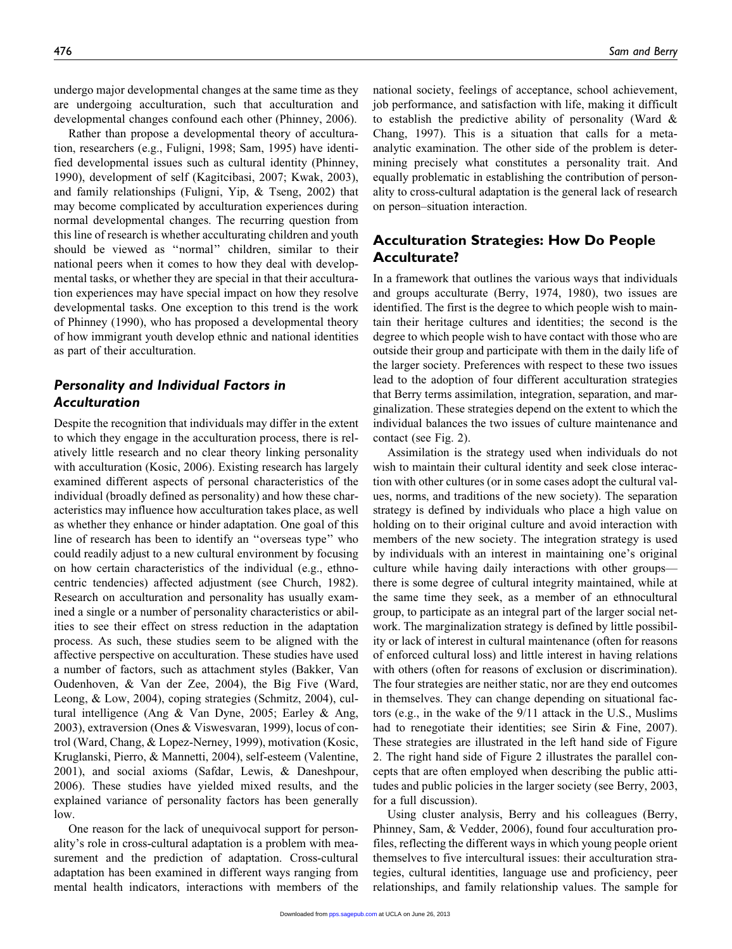undergo major developmental changes at the same time as they are undergoing acculturation, such that acculturation and developmental changes confound each other (Phinney, 2006).

Rather than propose a developmental theory of acculturation, researchers (e.g., Fuligni, 1998; Sam, 1995) have identified developmental issues such as cultural identity (Phinney, 1990), development of self (Kagitcibasi, 2007; Kwak, 2003), and family relationships (Fuligni, Yip, & Tseng, 2002) that may become complicated by acculturation experiences during normal developmental changes. The recurring question from this line of research is whether acculturating children and youth should be viewed as ''normal'' children, similar to their national peers when it comes to how they deal with developmental tasks, or whether they are special in that their acculturation experiences may have special impact on how they resolve developmental tasks. One exception to this trend is the work of Phinney (1990), who has proposed a developmental theory of how immigrant youth develop ethnic and national identities as part of their acculturation.

# Personality and Individual Factors in Acculturation

Despite the recognition that individuals may differ in the extent to which they engage in the acculturation process, there is relatively little research and no clear theory linking personality with acculturation (Kosic, 2006). Existing research has largely examined different aspects of personal characteristics of the individual (broadly defined as personality) and how these characteristics may influence how acculturation takes place, as well as whether they enhance or hinder adaptation. One goal of this line of research has been to identify an ''overseas type'' who could readily adjust to a new cultural environment by focusing on how certain characteristics of the individual (e.g., ethnocentric tendencies) affected adjustment (see Church, 1982). Research on acculturation and personality has usually examined a single or a number of personality characteristics or abilities to see their effect on stress reduction in the adaptation process. As such, these studies seem to be aligned with the affective perspective on acculturation. These studies have used a number of factors, such as attachment styles (Bakker, Van Oudenhoven, & Van der Zee, 2004), the Big Five (Ward, Leong, & Low, 2004), coping strategies (Schmitz, 2004), cultural intelligence (Ang & Van Dyne, 2005; Earley & Ang, 2003), extraversion (Ones & Viswesvaran, 1999), locus of control (Ward, Chang, & Lopez-Nerney, 1999), motivation (Kosic, Kruglanski, Pierro, & Mannetti, 2004), self-esteem (Valentine, 2001), and social axioms (Safdar, Lewis, & Daneshpour, 2006). These studies have yielded mixed results, and the explained variance of personality factors has been generally low.

One reason for the lack of unequivocal support for personality's role in cross-cultural adaptation is a problem with measurement and the prediction of adaptation. Cross-cultural adaptation has been examined in different ways ranging from mental health indicators, interactions with members of the

national society, feelings of acceptance, school achievement, job performance, and satisfaction with life, making it difficult to establish the predictive ability of personality (Ward & Chang, 1997). This is a situation that calls for a metaanalytic examination. The other side of the problem is determining precisely what constitutes a personality trait. And equally problematic in establishing the contribution of personality to cross-cultural adaptation is the general lack of research on person–situation interaction.

# Acculturation Strategies: How Do People Acculturate?

In a framework that outlines the various ways that individuals and groups acculturate (Berry, 1974, 1980), two issues are identified. The first is the degree to which people wish to maintain their heritage cultures and identities; the second is the degree to which people wish to have contact with those who are outside their group and participate with them in the daily life of the larger society. Preferences with respect to these two issues lead to the adoption of four different acculturation strategies that Berry terms assimilation, integration, separation, and marginalization. These strategies depend on the extent to which the individual balances the two issues of culture maintenance and contact (see Fig. 2).

Assimilation is the strategy used when individuals do not wish to maintain their cultural identity and seek close interaction with other cultures (or in some cases adopt the cultural values, norms, and traditions of the new society). The separation strategy is defined by individuals who place a high value on holding on to their original culture and avoid interaction with members of the new society. The integration strategy is used by individuals with an interest in maintaining one's original culture while having daily interactions with other groups there is some degree of cultural integrity maintained, while at the same time they seek, as a member of an ethnocultural group, to participate as an integral part of the larger social network. The marginalization strategy is defined by little possibility or lack of interest in cultural maintenance (often for reasons of enforced cultural loss) and little interest in having relations with others (often for reasons of exclusion or discrimination). The four strategies are neither static, nor are they end outcomes in themselves. They can change depending on situational factors (e.g., in the wake of the 9/11 attack in the U.S., Muslims had to renegotiate their identities; see Sirin & Fine, 2007). These strategies are illustrated in the left hand side of Figure 2. The right hand side of Figure 2 illustrates the parallel concepts that are often employed when describing the public attitudes and public policies in the larger society (see Berry, 2003, for a full discussion).

Using cluster analysis, Berry and his colleagues (Berry, Phinney, Sam, & Vedder, 2006), found four acculturation profiles, reflecting the different ways in which young people orient themselves to five intercultural issues: their acculturation strategies, cultural identities, language use and proficiency, peer relationships, and family relationship values. The sample for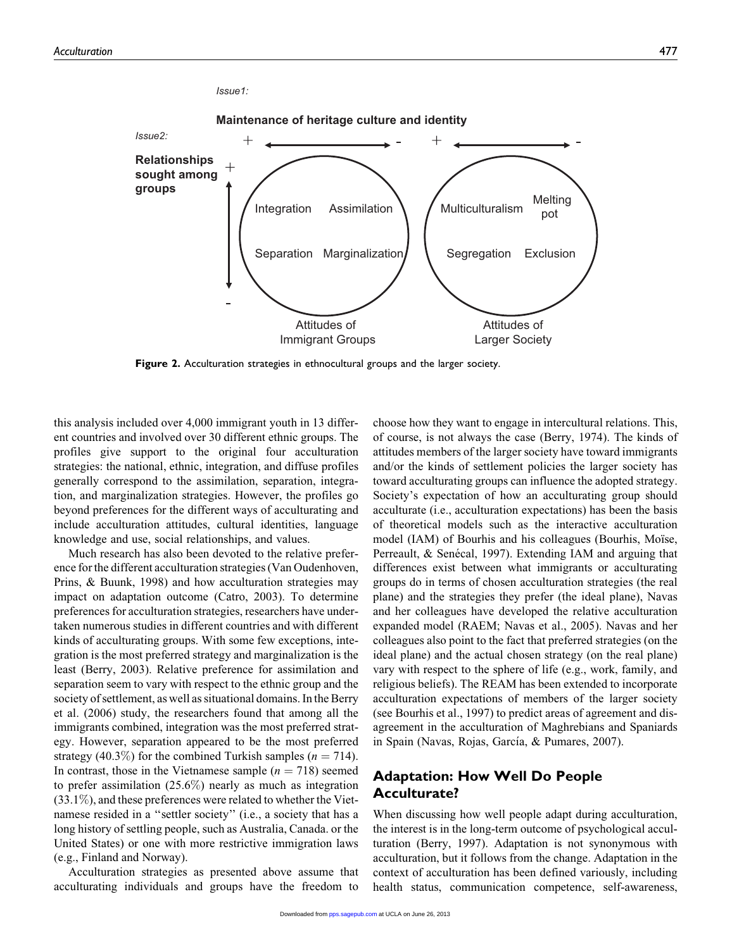

Figure 2. Acculturation strategies in ethnocultural groups and the larger society.

this analysis included over 4,000 immigrant youth in 13 different countries and involved over 30 different ethnic groups. The profiles give support to the original four acculturation strategies: the national, ethnic, integration, and diffuse profiles generally correspond to the assimilation, separation, integration, and marginalization strategies. However, the profiles go beyond preferences for the different ways of acculturating and include acculturation attitudes, cultural identities, language knowledge and use, social relationships, and values.

Much research has also been devoted to the relative preference for the different acculturation strategies (Van Oudenhoven, Prins, & Buunk, 1998) and how acculturation strategies may impact on adaptation outcome (Catro, 2003). To determine preferences for acculturation strategies, researchers have undertaken numerous studies in different countries and with different kinds of acculturating groups. With some few exceptions, integration is the most preferred strategy and marginalization is the least (Berry, 2003). Relative preference for assimilation and separation seem to vary with respect to the ethnic group and the society of settlement, as well as situational domains. In the Berry et al. (2006) study, the researchers found that among all the immigrants combined, integration was the most preferred strategy. However, separation appeared to be the most preferred strategy (40.3%) for the combined Turkish samples ( $n = 714$ ). In contrast, those in the Vietnamese sample ( $n = 718$ ) seemed to prefer assimilation (25.6%) nearly as much as integration  $(33.1\%)$ , and these preferences were related to whether the Vietnamese resided in a ''settler society'' (i.e., a society that has a long history of settling people, such as Australia, Canada. or the United States) or one with more restrictive immigration laws (e.g., Finland and Norway).

Acculturation strategies as presented above assume that acculturating individuals and groups have the freedom to

choose how they want to engage in intercultural relations. This, of course, is not always the case (Berry, 1974). The kinds of attitudes members of the larger society have toward immigrants and/or the kinds of settlement policies the larger society has toward acculturating groups can influence the adopted strategy. Society's expectation of how an acculturating group should acculturate (i.e., acculturation expectations) has been the basis of theoretical models such as the interactive acculturation model (IAM) of Bourhis and his colleagues (Bourhis, Moïse, Perreault, & Senécal, 1997). Extending IAM and arguing that differences exist between what immigrants or acculturating groups do in terms of chosen acculturation strategies (the real plane) and the strategies they prefer (the ideal plane), Navas and her colleagues have developed the relative acculturation expanded model (RAEM; Navas et al., 2005). Navas and her colleagues also point to the fact that preferred strategies (on the ideal plane) and the actual chosen strategy (on the real plane) vary with respect to the sphere of life (e.g., work, family, and religious beliefs). The REAM has been extended to incorporate acculturation expectations of members of the larger society (see Bourhis et al., 1997) to predict areas of agreement and disagreement in the acculturation of Maghrebians and Spaniards in Spain (Navas, Rojas, García, & Pumares, 2007).

# Adaptation: How Well Do People Acculturate?

When discussing how well people adapt during acculturation, the interest is in the long-term outcome of psychological acculturation (Berry, 1997). Adaptation is not synonymous with acculturation, but it follows from the change. Adaptation in the context of acculturation has been defined variously, including health status, communication competence, self-awareness,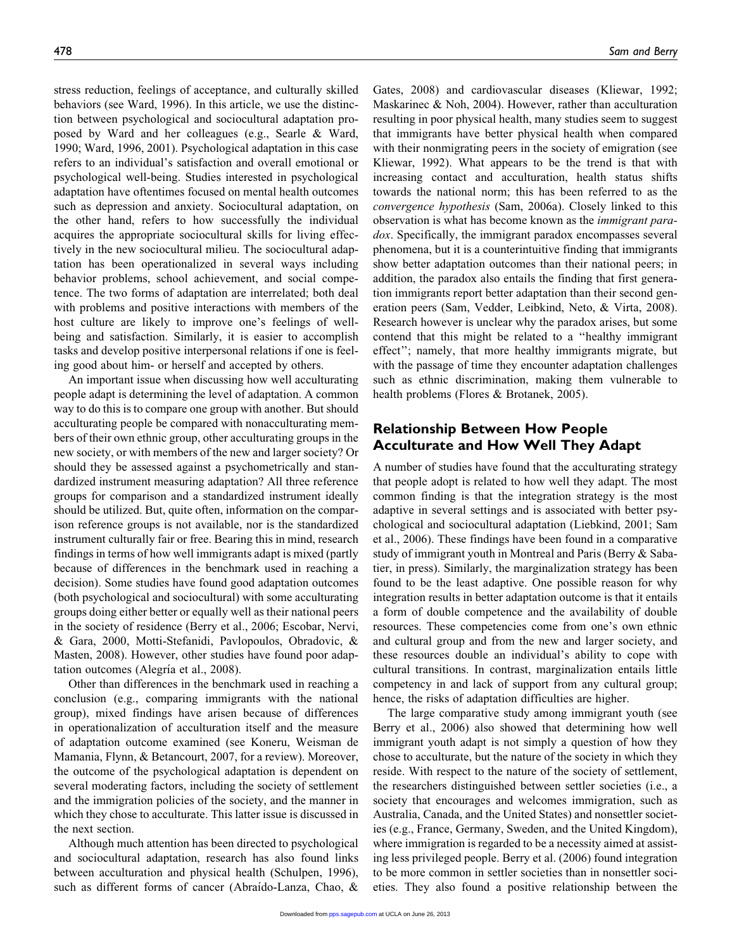stress reduction, feelings of acceptance, and culturally skilled behaviors (see Ward, 1996). In this article, we use the distinction between psychological and sociocultural adaptation proposed by Ward and her colleagues (e.g., Searle & Ward, 1990; Ward, 1996, 2001). Psychological adaptation in this case refers to an individual's satisfaction and overall emotional or psychological well-being. Studies interested in psychological adaptation have oftentimes focused on mental health outcomes such as depression and anxiety. Sociocultural adaptation, on the other hand, refers to how successfully the individual acquires the appropriate sociocultural skills for living effectively in the new sociocultural milieu. The sociocultural adaptation has been operationalized in several ways including behavior problems, school achievement, and social competence. The two forms of adaptation are interrelated; both deal with problems and positive interactions with members of the host culture are likely to improve one's feelings of wellbeing and satisfaction. Similarly, it is easier to accomplish tasks and develop positive interpersonal relations if one is feeling good about him- or herself and accepted by others.

An important issue when discussing how well acculturating people adapt is determining the level of adaptation. A common way to do this is to compare one group with another. But should acculturating people be compared with nonacculturating members of their own ethnic group, other acculturating groups in the new society, or with members of the new and larger society? Or should they be assessed against a psychometrically and standardized instrument measuring adaptation? All three reference groups for comparison and a standardized instrument ideally should be utilized. But, quite often, information on the comparison reference groups is not available, nor is the standardized instrument culturally fair or free. Bearing this in mind, research findings in terms of how well immigrants adapt is mixed (partly because of differences in the benchmark used in reaching a decision). Some studies have found good adaptation outcomes (both psychological and sociocultural) with some acculturating groups doing either better or equally well as their national peers in the society of residence (Berry et al., 2006; Escobar, Nervi, & Gara, 2000, Motti-Stefanidi, Pavlopoulos, Obradovic, & Masten, 2008). However, other studies have found poor adaptation outcomes (Alegría et al., 2008).

Other than differences in the benchmark used in reaching a conclusion (e.g., comparing immigrants with the national group), mixed findings have arisen because of differences in operationalization of acculturation itself and the measure of adaptation outcome examined (see Koneru, Weisman de Mamania, Flynn, & Betancourt, 2007, for a review). Moreover, the outcome of the psychological adaptation is dependent on several moderating factors, including the society of settlement and the immigration policies of the society, and the manner in which they chose to acculturate. This latter issue is discussed in the next section.

Although much attention has been directed to psychological and sociocultural adaptation, research has also found links between acculturation and physical health (Schulpen, 1996), such as different forms of cancer (Abraído-Lanza, Chao, & Gates, 2008) and cardiovascular diseases (Kliewar, 1992; Maskarinec & Noh, 2004). However, rather than acculturation resulting in poor physical health, many studies seem to suggest that immigrants have better physical health when compared with their nonmigrating peers in the society of emigration (see Kliewar, 1992). What appears to be the trend is that with increasing contact and acculturation, health status shifts towards the national norm; this has been referred to as the convergence hypothesis (Sam, 2006a). Closely linked to this observation is what has become known as the immigrant paradox. Specifically, the immigrant paradox encompasses several phenomena, but it is a counterintuitive finding that immigrants show better adaptation outcomes than their national peers; in addition, the paradox also entails the finding that first generation immigrants report better adaptation than their second generation peers (Sam, Vedder, Leibkind, Neto, & Virta, 2008). Research however is unclear why the paradox arises, but some contend that this might be related to a ''healthy immigrant effect''; namely, that more healthy immigrants migrate, but with the passage of time they encounter adaptation challenges such as ethnic discrimination, making them vulnerable to health problems (Flores & Brotanek, 2005).

### Relationship Between How People Acculturate and How Well They Adapt

A number of studies have found that the acculturating strategy that people adopt is related to how well they adapt. The most common finding is that the integration strategy is the most adaptive in several settings and is associated with better psychological and sociocultural adaptation (Liebkind, 2001; Sam et al., 2006). These findings have been found in a comparative study of immigrant youth in Montreal and Paris (Berry & Sabatier, in press). Similarly, the marginalization strategy has been found to be the least adaptive. One possible reason for why integration results in better adaptation outcome is that it entails a form of double competence and the availability of double resources. These competencies come from one's own ethnic and cultural group and from the new and larger society, and these resources double an individual's ability to cope with cultural transitions. In contrast, marginalization entails little competency in and lack of support from any cultural group; hence, the risks of adaptation difficulties are higher.

The large comparative study among immigrant youth (see Berry et al., 2006) also showed that determining how well immigrant youth adapt is not simply a question of how they chose to acculturate, but the nature of the society in which they reside. With respect to the nature of the society of settlement, the researchers distinguished between settler societies (i.e., a society that encourages and welcomes immigration, such as Australia, Canada, and the United States) and nonsettler societies (e.g., France, Germany, Sweden, and the United Kingdom), where immigration is regarded to be a necessity aimed at assisting less privileged people. Berry et al. (2006) found integration to be more common in settler societies than in nonsettler societies. They also found a positive relationship between the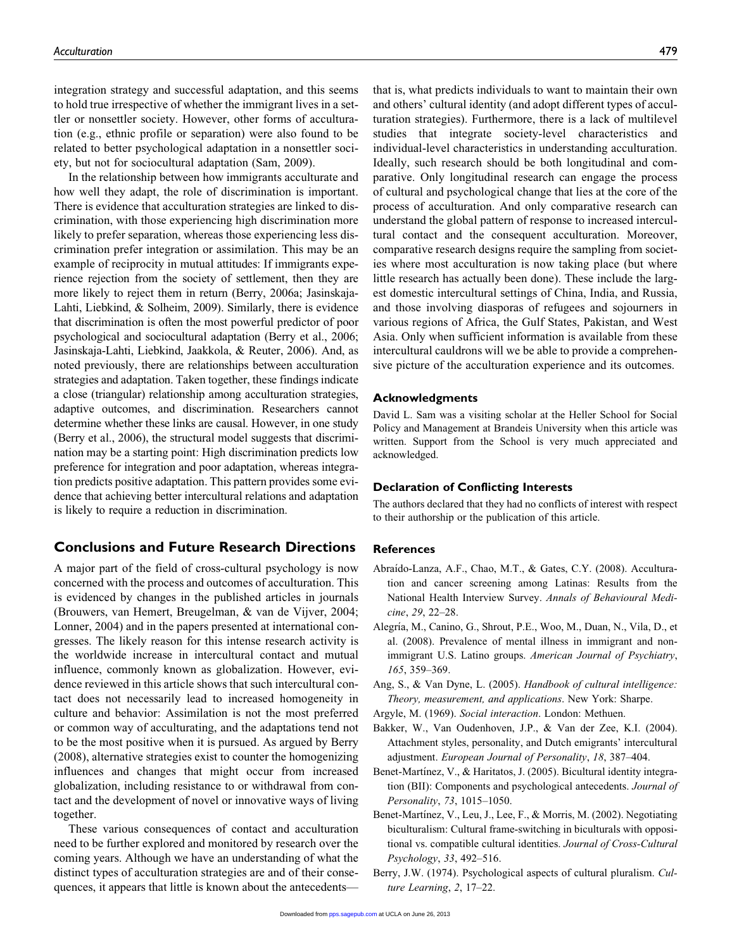integration strategy and successful adaptation, and this seems to hold true irrespective of whether the immigrant lives in a settler or nonsettler society. However, other forms of acculturation (e.g., ethnic profile or separation) were also found to be related to better psychological adaptation in a nonsettler society, but not for sociocultural adaptation (Sam, 2009).

In the relationship between how immigrants acculturate and how well they adapt, the role of discrimination is important. There is evidence that acculturation strategies are linked to discrimination, with those experiencing high discrimination more likely to prefer separation, whereas those experiencing less discrimination prefer integration or assimilation. This may be an example of reciprocity in mutual attitudes: If immigrants experience rejection from the society of settlement, then they are more likely to reject them in return (Berry, 2006a; Jasinskaja-Lahti, Liebkind, & Solheim, 2009). Similarly, there is evidence that discrimination is often the most powerful predictor of poor psychological and sociocultural adaptation (Berry et al., 2006; Jasinskaja-Lahti, Liebkind, Jaakkola, & Reuter, 2006). And, as noted previously, there are relationships between acculturation strategies and adaptation. Taken together, these findings indicate a close (triangular) relationship among acculturation strategies, adaptive outcomes, and discrimination. Researchers cannot determine whether these links are causal. However, in one study (Berry et al., 2006), the structural model suggests that discrimination may be a starting point: High discrimination predicts low preference for integration and poor adaptation, whereas integration predicts positive adaptation. This pattern provides some evidence that achieving better intercultural relations and adaptation is likely to require a reduction in discrimination.

#### Conclusions and Future Research Directions

A major part of the field of cross-cultural psychology is now concerned with the process and outcomes of acculturation. This is evidenced by changes in the published articles in journals (Brouwers, van Hemert, Breugelman, & van de Vijver, 2004; Lonner, 2004) and in the papers presented at international congresses. The likely reason for this intense research activity is the worldwide increase in intercultural contact and mutual influence, commonly known as globalization. However, evidence reviewed in this article shows that such intercultural contact does not necessarily lead to increased homogeneity in culture and behavior: Assimilation is not the most preferred or common way of acculturating, and the adaptations tend not to be the most positive when it is pursued. As argued by Berry (2008), alternative strategies exist to counter the homogenizing influences and changes that might occur from increased globalization, including resistance to or withdrawal from contact and the development of novel or innovative ways of living together.

These various consequences of contact and acculturation need to be further explored and monitored by research over the coming years. Although we have an understanding of what the distinct types of acculturation strategies are and of their consequences, it appears that little is known about the antecedentsthat is, what predicts individuals to want to maintain their own and others' cultural identity (and adopt different types of acculturation strategies). Furthermore, there is a lack of multilevel studies that integrate society-level characteristics and individual-level characteristics in understanding acculturation. Ideally, such research should be both longitudinal and comparative. Only longitudinal research can engage the process of cultural and psychological change that lies at the core of the process of acculturation. And only comparative research can understand the global pattern of response to increased intercultural contact and the consequent acculturation. Moreover, comparative research designs require the sampling from societies where most acculturation is now taking place (but where little research has actually been done). These include the largest domestic intercultural settings of China, India, and Russia, and those involving diasporas of refugees and sojourners in various regions of Africa, the Gulf States, Pakistan, and West Asia. Only when sufficient information is available from these intercultural cauldrons will we be able to provide a comprehensive picture of the acculturation experience and its outcomes.

#### Acknowledgments

David L. Sam was a visiting scholar at the Heller School for Social Policy and Management at Brandeis University when this article was written. Support from the School is very much appreciated and acknowledged.

#### Declaration of Conflicting Interests

The authors declared that they had no conflicts of interest with respect to their authorship or the publication of this article.

#### **References**

- Abraı´do-Lanza, A.F., Chao, M.T., & Gates, C.Y. (2008). Acculturation and cancer screening among Latinas: Results from the National Health Interview Survey. Annals of Behavioural Medicine, 29, 22–28.
- Alegría, M., Canino, G., Shrout, P.E., Woo, M., Duan, N., Vila, D., et al. (2008). Prevalence of mental illness in immigrant and nonimmigrant U.S. Latino groups. American Journal of Psychiatry, 165, 359–369.
- Ang, S., & Van Dyne, L. (2005). Handbook of cultural intelligence: Theory, measurement, and applications. New York: Sharpe.
- Argyle, M. (1969). Social interaction. London: Methuen.
- Bakker, W., Van Oudenhoven, J.P., & Van der Zee, K.I. (2004). Attachment styles, personality, and Dutch emigrants' intercultural adjustment. European Journal of Personality, 18, 387–404.
- Benet-Martínez, V., & Haritatos, J. (2005). Bicultural identity integration (BII): Components and psychological antecedents. Journal of Personality, 73, 1015–1050.
- Benet-Martínez, V., Leu, J., Lee, F., & Morris, M. (2002). Negotiating biculturalism: Cultural frame-switching in biculturals with oppositional vs. compatible cultural identities. Journal of Cross-Cultural Psychology, 33, 492–516.
- Berry, J.W. (1974). Psychological aspects of cultural pluralism. Culture Learning, 2, 17–22.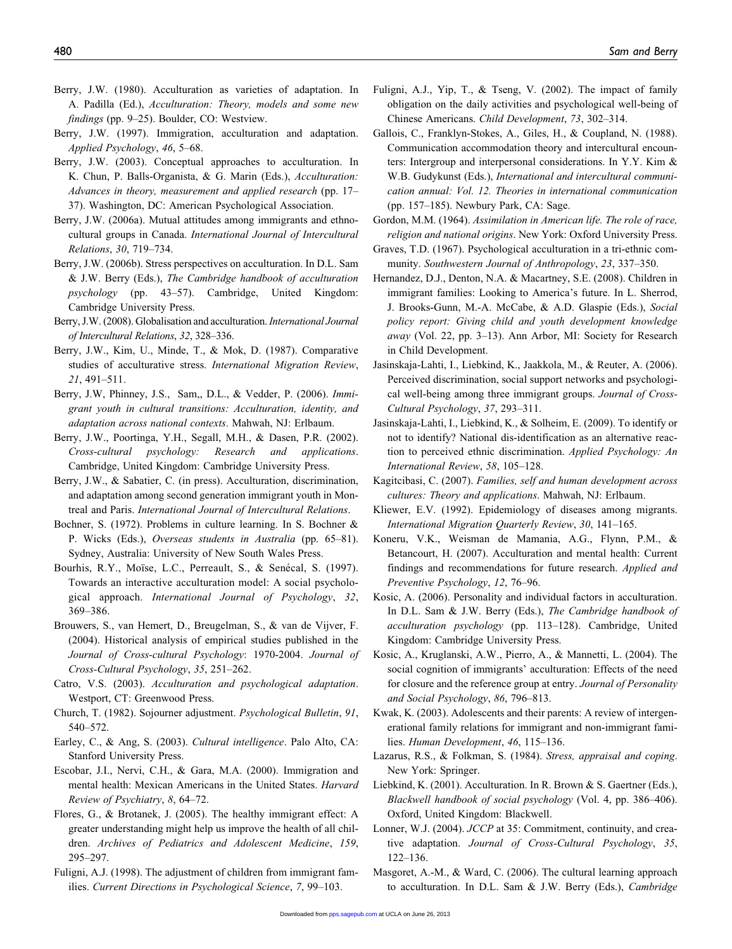- Berry, J.W. (1980). Acculturation as varieties of adaptation. In A. Padilla (Ed.), Acculturation: Theory, models and some new findings (pp. 9–25). Boulder, CO: Westview.
- Berry, J.W. (1997). Immigration, acculturation and adaptation. Applied Psychology, 46, 5–68.
- Berry, J.W. (2003). Conceptual approaches to acculturation. In K. Chun, P. Balls-Organista, & G. Marin (Eds.), Acculturation: Advances in theory, measurement and applied research (pp. 17– 37). Washington, DC: American Psychological Association.
- Berry, J.W. (2006a). Mutual attitudes among immigrants and ethnocultural groups in Canada. International Journal of Intercultural Relations, 30, 719–734.
- Berry, J.W. (2006b). Stress perspectives on acculturation. In D.L. Sam & J.W. Berry (Eds.), The Cambridge handbook of acculturation psychology (pp. 43–57). Cambridge, United Kingdom: Cambridge University Press.
- Berry, J.W. (2008). Globalisation and acculturation. International Journal of Intercultural Relations, 32, 328–336.
- Berry, J.W., Kim, U., Minde, T., & Mok, D. (1987). Comparative studies of acculturative stress. International Migration Review, 21, 491–511.
- Berry, J.W, Phinney, J.S., Sam,, D.L., & Vedder, P. (2006). Immigrant youth in cultural transitions: Acculturation, identity, and adaptation across national contexts. Mahwah, NJ: Erlbaum.
- Berry, J.W., Poortinga, Y.H., Segall, M.H., & Dasen, P.R. (2002). Cross-cultural psychology: Research and applications. Cambridge, United Kingdom: Cambridge University Press.
- Berry, J.W., & Sabatier, C. (in press). Acculturation, discrimination, and adaptation among second generation immigrant youth in Montreal and Paris. International Journal of Intercultural Relations.
- Bochner, S. (1972). Problems in culture learning. In S. Bochner & P. Wicks (Eds.), Overseas students in Australia (pp. 65–81). Sydney, Australia: University of New South Wales Press.
- Bourhis, R.Y., Moïse, L.C., Perreault, S., & Senécal, S. (1997). Towards an interactive acculturation model: A social psychological approach. International Journal of Psychology, 32, 369–386.
- Brouwers, S., van Hemert, D., Breugelman, S., & van de Vijver, F. (2004). Historical analysis of empirical studies published in the Journal of Cross-cultural Psychology: 1970-2004. Journal of Cross-Cultural Psychology, 35, 251–262.
- Catro, V.S. (2003). Acculturation and psychological adaptation. Westport, CT: Greenwood Press.
- Church, T. (1982). Sojourner adjustment. Psychological Bulletin, 91, 540–572.
- Earley, C., & Ang, S. (2003). Cultural intelligence. Palo Alto, CA: Stanford University Press.
- Escobar, J.I., Nervi, C.H., & Gara, M.A. (2000). Immigration and mental health: Mexican Americans in the United States. Harvard Review of Psychiatry, 8, 64–72.
- Flores, G., & Brotanek, J. (2005). The healthy immigrant effect: A greater understanding might help us improve the health of all children. Archives of Pediatrics and Adolescent Medicine, 159, 295–297.
- Fuligni, A.J. (1998). The adjustment of children from immigrant families. Current Directions in Psychological Science, 7, 99–103.
- Fuligni, A.J., Yip, T., & Tseng, V. (2002). The impact of family obligation on the daily activities and psychological well-being of Chinese Americans. Child Development, 73, 302–314.
- Gallois, C., Franklyn-Stokes, A., Giles, H., & Coupland, N. (1988). Communication accommodation theory and intercultural encounters: Intergroup and interpersonal considerations. In Y.Y. Kim & W.B. Gudykunst (Eds.), International and intercultural communication annual: Vol. 12. Theories in international communication (pp. 157–185). Newbury Park, CA: Sage.
- Gordon, M.M. (1964). Assimilation in American life. The role of race, religion and national origins. New York: Oxford University Press.
- Graves, T.D. (1967). Psychological acculturation in a tri-ethnic community. Southwestern Journal of Anthropology, 23, 337–350.
- Hernandez, D.J., Denton, N.A. & Macartney, S.E. (2008). Children in immigrant families: Looking to America's future. In L. Sherrod, J. Brooks-Gunn, M.-A. McCabe, & A.D. Glaspie (Eds.), Social policy report: Giving child and youth development knowledge away (Vol. 22, pp. 3–13). Ann Arbor, MI: Society for Research in Child Development.
- Jasinskaja-Lahti, I., Liebkind, K., Jaakkola, M., & Reuter, A. (2006). Perceived discrimination, social support networks and psychological well-being among three immigrant groups. Journal of Cross-Cultural Psychology, 37, 293–311.
- Jasinskaja-Lahti, I., Liebkind, K., & Solheim, E. (2009). To identify or not to identify? National dis-identification as an alternative reaction to perceived ethnic discrimination. Applied Psychology: An International Review, 58, 105–128.
- Kagitcibasi, C. (2007). Families, self and human development across cultures: Theory and applications. Mahwah, NJ: Erlbaum.
- Kliewer, E.V. (1992). Epidemiology of diseases among migrants. International Migration Quarterly Review, 30, 141–165.
- Koneru, V.K., Weisman de Mamania, A.G., Flynn, P.M., & Betancourt, H. (2007). Acculturation and mental health: Current findings and recommendations for future research. Applied and Preventive Psychology, 12, 76–96.
- Kosic, A. (2006). Personality and individual factors in acculturation. In D.L. Sam & J.W. Berry (Eds.), The Cambridge handbook of acculturation psychology (pp. 113–128). Cambridge, United Kingdom: Cambridge University Press.
- Kosic, A., Kruglanski, A.W., Pierro, A., & Mannetti, L. (2004). The social cognition of immigrants' acculturation: Effects of the need for closure and the reference group at entry. Journal of Personality and Social Psychology, 86, 796–813.
- Kwak, K. (2003). Adolescents and their parents: A review of intergenerational family relations for immigrant and non-immigrant families. Human Development, 46, 115–136.
- Lazarus, R.S., & Folkman, S. (1984). Stress, appraisal and coping. New York: Springer.
- Liebkind, K. (2001). Acculturation. In R. Brown & S. Gaertner (Eds.), Blackwell handbook of social psychology (Vol. 4, pp. 386–406). Oxford, United Kingdom: Blackwell.
- Lonner, W.J. (2004). JCCP at 35: Commitment, continuity, and creative adaptation. Journal of Cross-Cultural Psychology, 35, 122–136.
- Masgoret, A.-M., & Ward, C. (2006). The cultural learning approach to acculturation. In D.L. Sam & J.W. Berry (Eds.), Cambridge